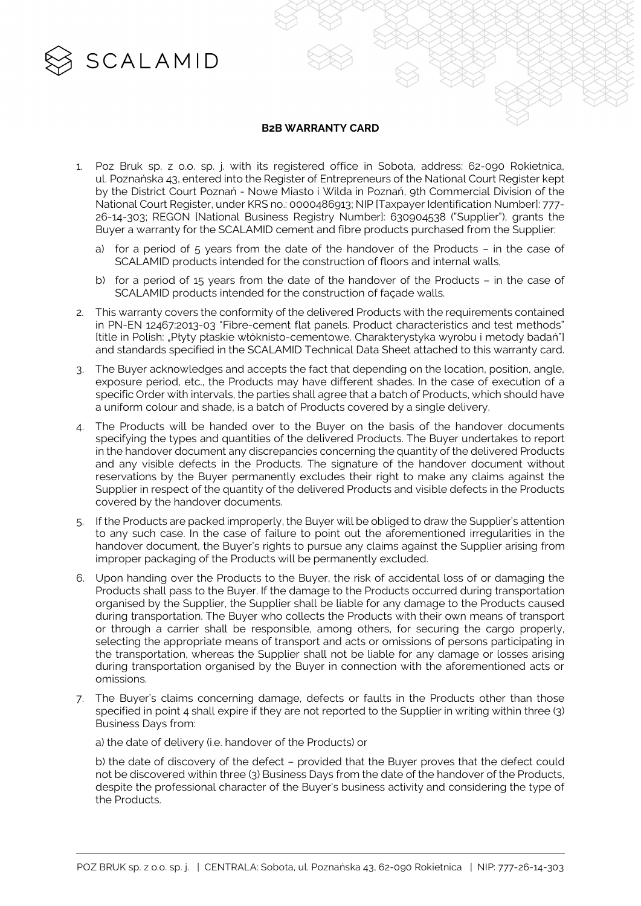

## **B2B WARRANTY CARD**

- 1. Poz Bruk sp. z o.o. sp. j. with its registered office in Sobota, address: 62-090 Rokietnica, ul. Poznańska 43, entered into the Register of Entrepreneurs of the National Court Register kept by the District Court Poznań - Nowe Miasto i Wilda in Poznań, 9th Commercial Division of the National Court Register, under KRS no.: 0000486913; NIP [Taxpayer Identification Number]: 777- 26-14-303; REGON [National Business Registry Number]: 630904538 ("Supplier"), grants the Buyer a warranty for the SCALAMID cement and fibre products purchased from the Supplier:
	- a) for a period of  $5$  years from the date of the handover of the Products in the case of SCALAMID products intended for the construction of floors and internal walls,
	- b) for a period of 15 years from the date of the handover of the Products in the case of SCALAMID products intended for the construction of façade walls.
- 2. This warranty covers the conformity of the delivered Products with the requirements contained in PN-EN 12467:2013-03 "Fibre-cement flat panels. Product characteristics and test methods" [title in Polish: "Płyty płaskie włóknisto-cementowe. Charakterystyka wyrobu i metody badań"] and standards specified in the SCALAMID Technical Data Sheet attached to this warranty card.
- 3. The Buyer acknowledges and accepts the fact that depending on the location, position, angle, exposure period, etc., the Products may have different shades. In the case of execution of a specific Order with intervals, the parties shall agree that a batch of Products, which should have a uniform colour and shade, is a batch of Products covered by a single delivery.
- 4. The Products will be handed over to the Buyer on the basis of the handover documents specifying the types and quantities of the delivered Products. The Buyer undertakes to report in the handover document any discrepancies concerning the quantity of the delivered Products and any visible defects in the Products. The signature of the handover document without reservations by the Buyer permanently excludes their right to make any claims against the Supplier in respect of the quantity of the delivered Products and visible defects in the Products covered by the handover documents.
- 5. If the Products are packed improperly, the Buyer will be obliged to draw the Supplier's attention to any such case. In the case of failure to point out the aforementioned irregularities in the handover document, the Buyer's rights to pursue any claims against the Supplier arising from improper packaging of the Products will be permanently excluded.
- 6. Upon handing over the Products to the Buyer, the risk of accidental loss of or damaging the Products shall pass to the Buyer. If the damage to the Products occurred during transportation organised by the Supplier, the Supplier shall be liable for any damage to the Products caused during transportation. The Buyer who collects the Products with their own means of transport or through a carrier shall be responsible, among others, for securing the cargo properly, selecting the appropriate means of transport and acts or omissions of persons participating in the transportation, whereas the Supplier shall not be liable for any damage or losses arising during transportation organised by the Buyer in connection with the aforementioned acts or omissions.
- 7. The Buyer's claims concerning damage, defects or faults in the Products other than those specified in point 4 shall expire if they are not reported to the Supplier in writing within three (3) Business Days from:

a) the date of delivery (i.e. handover of the Products) or

b) the date of discovery of the defect – provided that the Buyer proves that the defect could not be discovered within three (3) Business Days from the date of the handover of the Products, despite the professional character of the Buyer's business activity and considering the type of the Products.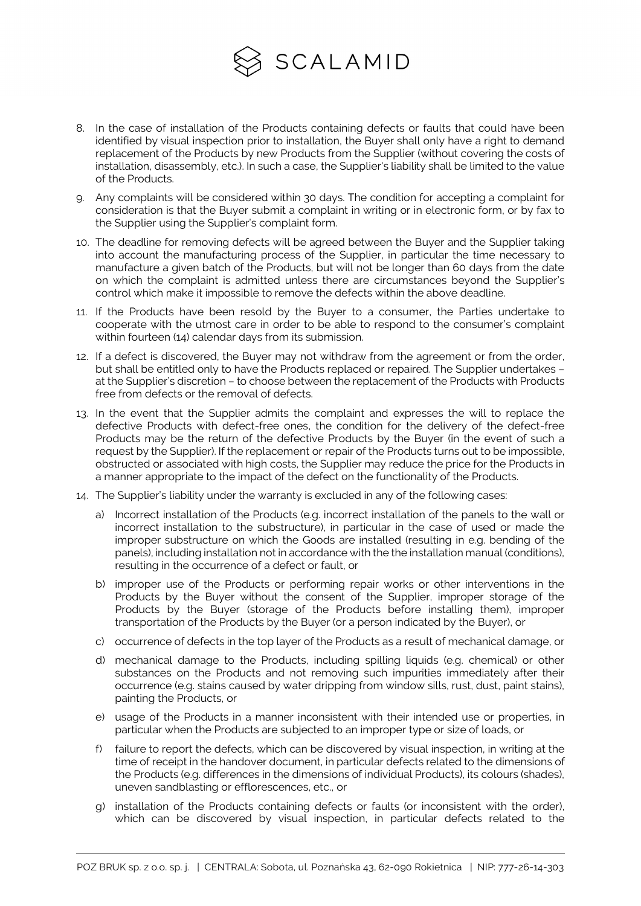

- 8. In the case of installation of the Products containing defects or faults that could have been identified by visual inspection prior to installation, the Buyer shall only have a right to demand replacement of the Products by new Products from the Supplier (without covering the costs of installation, disassembly, etc.). In such a case, the Supplier's liability shall be limited to the value of the Products.
- 9. Any complaints will be considered within 30 days. The condition for accepting a complaint for consideration is that the Buyer submit a complaint in writing or in electronic form, or by fax to the Supplier using the Supplier's complaint form.
- 10. The deadline for removing defects will be agreed between the Buyer and the Supplier taking into account the manufacturing process of the Supplier, in particular the time necessary to manufacture a given batch of the Products, but will not be longer than 60 days from the date on which the complaint is admitted unless there are circumstances beyond the Supplier's control which make it impossible to remove the defects within the above deadline.
- 11. If the Products have been resold by the Buyer to a consumer, the Parties undertake to cooperate with the utmost care in order to be able to respond to the consumer's complaint within fourteen (14) calendar days from its submission.
- 12. If a defect is discovered, the Buyer may not withdraw from the agreement or from the order, but shall be entitled only to have the Products replaced or repaired. The Supplier undertakes – at the Supplier's discretion – to choose between the replacement of the Products with Products free from defects or the removal of defects.
- 13. In the event that the Supplier admits the complaint and expresses the will to replace the defective Products with defect-free ones, the condition for the delivery of the defect-free Products may be the return of the defective Products by the Buyer (in the event of such a request by the Supplier). If the replacement or repair of the Products turns out to be impossible, obstructed or associated with high costs, the Supplier may reduce the price for the Products in a manner appropriate to the impact of the defect on the functionality of the Products.
- 14. The Supplier's liability under the warranty is excluded in any of the following cases:
	- a) Incorrect installation of the Products (e.g. incorrect installation of the panels to the wall or incorrect installation to the substructure), in particular in the case of used or made the improper substructure on which the Goods are installed (resulting in e.g. bending of the panels), including installation not in accordance with the the installation manual (conditions), resulting in the occurrence of a defect or fault, or
	- b) improper use of the Products or performing repair works or other interventions in the Products by the Buyer without the consent of the Supplier, improper storage of the Products by the Buyer (storage of the Products before installing them), improper transportation of the Products by the Buyer (or a person indicated by the Buyer), or
	- c) occurrence of defects in the top layer of the Products as a result of mechanical damage, or
	- d) mechanical damage to the Products, including spilling liquids (e.g. chemical) or other substances on the Products and not removing such impurities immediately after their occurrence (e.g. stains caused by water dripping from window sills, rust, dust, paint stains), painting the Products, or
	- e) usage of the Products in a manner inconsistent with their intended use or properties, in particular when the Products are subjected to an improper type or size of loads, or
	- f) failure to report the defects, which can be discovered by visual inspection, in writing at the time of receipt in the handover document, in particular defects related to the dimensions of the Products (e.g. differences in the dimensions of individual Products), its colours (shades), uneven sandblasting or efflorescences, etc., or
	- g) installation of the Products containing defects or faults (or inconsistent with the order), which can be discovered by visual inspection, in particular defects related to the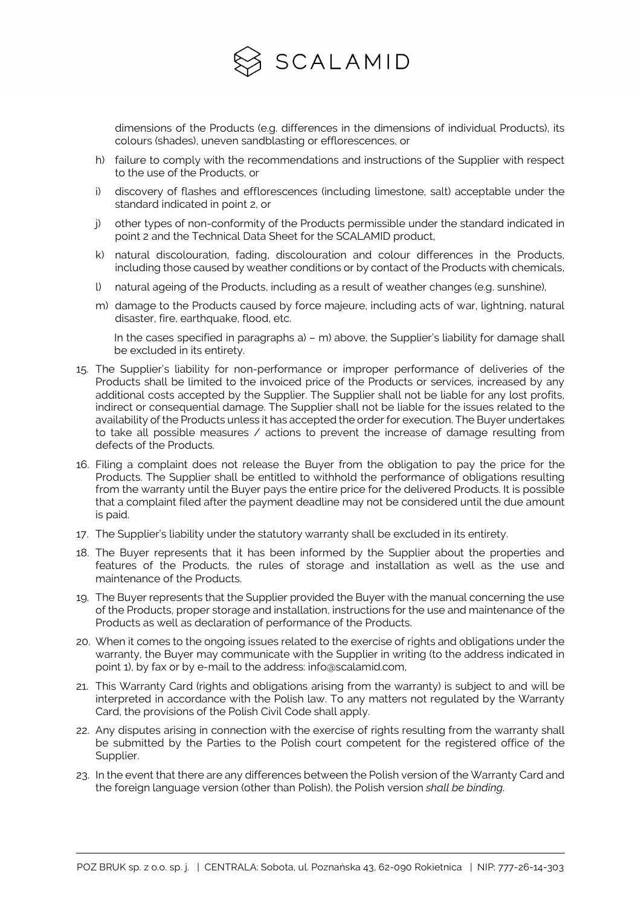

dimensions of the Products (e.g. differences in the dimensions of individual Products), its colours (shades), uneven sandblasting or efflorescences, or

- h) failure to comply with the recommendations and instructions of the Supplier with respect to the use of the Products, or
- i) discovery of flashes and efflorescences (including limestone, salt) acceptable under the standard indicated in point 2, or
- j) other types of non-conformity of the Products permissible under the standard indicated in point 2 and the Technical Data Sheet for the SCALAMID product,
- k) natural discolouration, fading, discolouration and colour differences in the Products, including those caused by weather conditions or by contact of the Products with chemicals,
- l) natural ageing of the Products, including as a result of weather changes (e.g. sunshine),
- m) damage to the Products caused by force majeure, including acts of war, lightning, natural disaster, fire, earthquake, flood, etc.

In the cases specified in paragraphs a) – m) above, the Supplier's liability for damage shall be excluded in its entirety.

- 15. The Supplier's liability for non-performance or improper performance of deliveries of the Products shall be limited to the invoiced price of the Products or services, increased by any additional costs accepted by the Supplier. The Supplier shall not be liable for any lost profits, indirect or consequential damage. The Supplier shall not be liable for the issues related to the availability of the Products unless it has accepted the order for execution. The Buyer undertakes to take all possible measures / actions to prevent the increase of damage resulting from defects of the Products.
- 16. Filing a complaint does not release the Buyer from the obligation to pay the price for the Products. The Supplier shall be entitled to withhold the performance of obligations resulting from the warranty until the Buyer pays the entire price for the delivered Products. It is possible that a complaint filed after the payment deadline may not be considered until the due amount is paid.
- 17. The Supplier's liability under the statutory warranty shall be excluded in its entirety.
- 18. The Buyer represents that it has been informed by the Supplier about the properties and features of the Products, the rules of storage and installation as well as the use and maintenance of the Products.
- 19. The Buyer represents that the Supplier provided the Buyer with the manual concerning the use of the Products, proper storage and installation, instructions for the use and maintenance of the Products as well as declaration of performance of the Products.
- 20. When it comes to the ongoing issues related to the exercise of rights and obligations under the warranty, the Buyer may communicate with the Supplier in writing (to the address indicated in point 1), by fax or by e-mail to the address: info@scalamid.com,
- 21. This Warranty Card (rights and obligations arising from the warranty) is subject to and will be interpreted in accordance with the Polish law. To any matters not regulated by the Warranty Card, the provisions of the Polish Civil Code shall apply.
- 22. Any disputes arising in connection with the exercise of rights resulting from the warranty shall be submitted by the Parties to the Polish court competent for the registered office of the Supplier.
- 23. In the event that there are any differences between the Polish version of the Warranty Card and the foreign language version (other than Polish), the Polish version *shall be binding.*